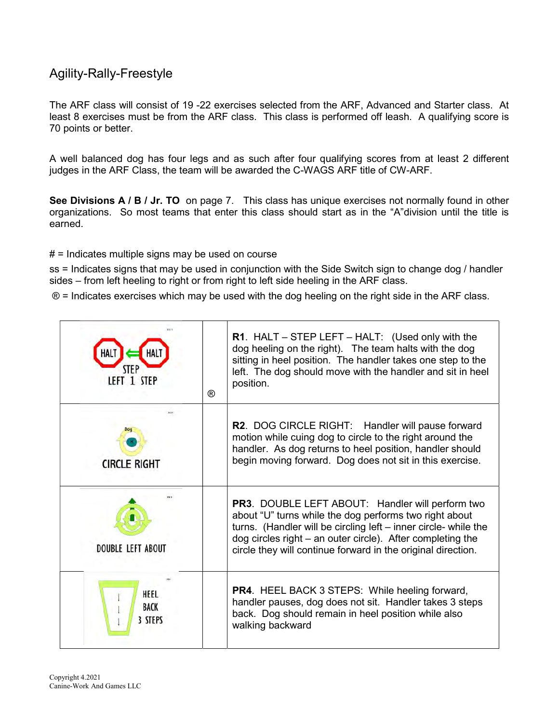## Agility-Rally-Freestyle

The ARF class will consist of 19 -22 exercises selected from the ARF, Advanced and Starter class. At least 8 exercises must be from the ARF class. This class is performed off leash. A qualifying score is 70 points or better.

A well balanced dog has four legs and as such after four qualifying scores from at least 2 different judges in the ARF Class, the team will be awarded the C-WAGS ARF title of CW-ARF.

See Divisions A / B / Jr. TO on page 7. This class has unique exercises not normally found in other organizations. So most teams that enter this class should start as in the "A"division until the title is earned.

 $#$  = Indicates multiple signs may be used on course

ss = Indicates signs that may be used in conjunction with the Side Switch sign to change dog / handler sides – from left heeling to right or from right to left side heeling in the ARF class.

® = Indicates exercises which may be used with the dog heeling on the right side in the ARF class.

| LEFT 1 STEP                    | ® | R1. HALT - STEP LEFT - HALT: (Used only with the<br>dog heeling on the right). The team halts with the dog<br>sitting in heel position. The handler takes one step to the<br>left. The dog should move with the handler and sit in heel<br>position.                                                               |
|--------------------------------|---|--------------------------------------------------------------------------------------------------------------------------------------------------------------------------------------------------------------------------------------------------------------------------------------------------------------------|
| <b>CIRCLE RIGHT</b>            |   | R2. DOG CIRCLE RIGHT: Handler will pause forward<br>motion while cuing dog to circle to the right around the<br>handler. As dog returns to heel position, handler should<br>begin moving forward. Dog does not sit in this exercise.                                                                               |
| <b>DOUBLE LEFT ABOUT</b>       |   | <b>PR3.</b> DOUBLE LEFT ABOUT: Handler will perform two<br>about "U" turns while the dog performs two right about<br>turns. (Handler will be circling left - inner circle- while the<br>dog circles right - an outer circle). After completing the<br>circle they will continue forward in the original direction. |
| HEEL<br><b>BACK</b><br>3 STEPS |   | <b>PR4.</b> HEEL BACK 3 STEPS: While heeling forward,<br>handler pauses, dog does not sit. Handler takes 3 steps<br>back. Dog should remain in heel position while also<br>walking backward                                                                                                                        |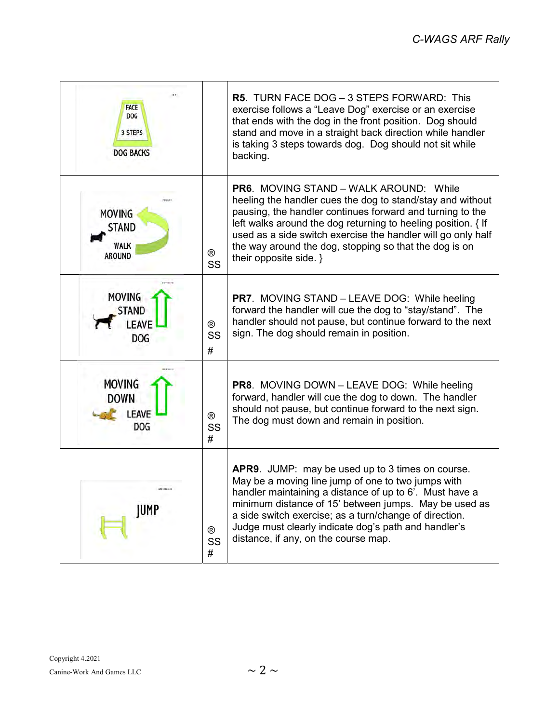| <b>FACE</b><br><b>DOG</b><br>3 STEPS<br><b>DOG BACKS</b>   |                           | <b>R5. TURN FACE DOG - 3 STEPS FORWARD: This</b><br>exercise follows a "Leave Dog" exercise or an exercise<br>that ends with the dog in the front position. Dog should<br>stand and move in a straight back direction while handler<br>is taking 3 steps towards dog. Dog should not sit while<br>backing.                                                                                    |
|------------------------------------------------------------|---------------------------|-----------------------------------------------------------------------------------------------------------------------------------------------------------------------------------------------------------------------------------------------------------------------------------------------------------------------------------------------------------------------------------------------|
| <b>MOVING</b><br>STAND<br><b>WALK</b><br><b>AROUND</b>     | $^{\circledR}$<br>SS      | <b>PR6. MOVING STAND – WALK AROUND: While</b><br>heeling the handler cues the dog to stand/stay and without<br>pausing, the handler continues forward and turning to the<br>left walks around the dog returning to heeling position. { If<br>used as a side switch exercise the handler will go only half<br>the way around the dog, stopping so that the dog is on<br>their opposite side. } |
| <b>MOVING</b><br><b>STAND</b><br>LEAVE<br><b>DOG</b>       | $^{\circledR}$<br>SS<br># | <b>PR7.</b> MOVING STAND - LEAVE DOG: While heeling<br>forward the handler will cue the dog to "stay/stand". The<br>handler should not pause, but continue forward to the next<br>sign. The dog should remain in position.                                                                                                                                                                    |
| <b>MOVING</b><br><b>DOWN</b><br><b>LEAVE</b><br><b>DOG</b> | $^{\circledR}$<br>SS<br># | <b>PR8.</b> MOVING DOWN - LEAVE DOG: While heeling<br>forward, handler will cue the dog to down. The handler<br>should not pause, but continue forward to the next sign.<br>The dog must down and remain in position.                                                                                                                                                                         |
| APE FOLL B<br>JUMP                                         | $^{\circledR}$<br>SS<br># | APR9. JUMP: may be used up to 3 times on course.<br>May be a moving line jump of one to two jumps with<br>handler maintaining a distance of up to 6'. Must have a<br>minimum distance of 15' between jumps. May be used as<br>a side switch exercise; as a turn/change of direction.<br>Judge must clearly indicate dog's path and handler's<br>distance, if any, on the course map.          |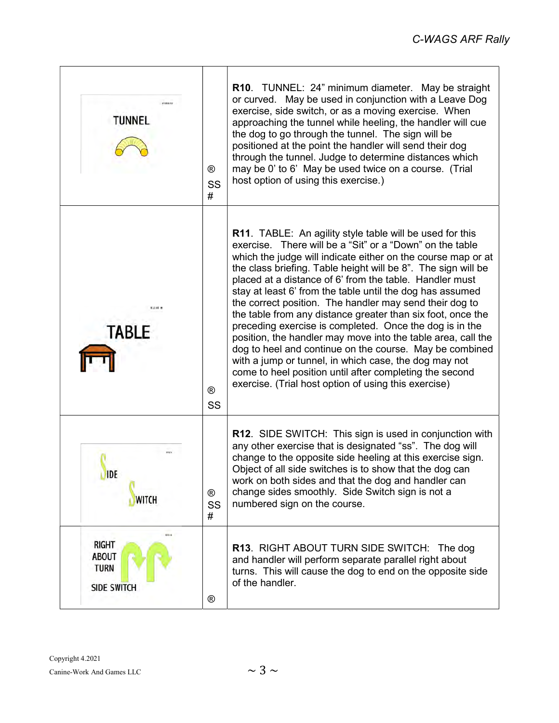| USEMVA<br>TUNNEL                                                          | $^{\circledR}$<br>SS<br># | R10. TUNNEL: 24" minimum diameter. May be straight<br>or curved. May be used in conjunction with a Leave Dog<br>exercise, side switch, or as a moving exercise. When<br>approaching the tunnel while heeling, the handler will cue<br>the dog to go through the tunnel. The sign will be<br>positioned at the point the handler will send their dog<br>through the tunnel. Judge to determine distances which<br>may be 0' to 6' May be used twice on a course. (Trial<br>host option of using this exercise.)                                                                                                                                                                                                                                                                                                                                                                   |
|---------------------------------------------------------------------------|---------------------------|----------------------------------------------------------------------------------------------------------------------------------------------------------------------------------------------------------------------------------------------------------------------------------------------------------------------------------------------------------------------------------------------------------------------------------------------------------------------------------------------------------------------------------------------------------------------------------------------------------------------------------------------------------------------------------------------------------------------------------------------------------------------------------------------------------------------------------------------------------------------------------|
| 乳球師 無<br><b>TABLE</b>                                                     | $^{\circledR}$<br>SS      | <b>R11.</b> TABLE: An agility style table will be used for this<br>exercise. There will be a "Sit" or a "Down" on the table<br>which the judge will indicate either on the course map or at<br>the class briefing. Table height will be 8". The sign will be<br>placed at a distance of 6' from the table. Handler must<br>stay at least 6' from the table until the dog has assumed<br>the correct position. The handler may send their dog to<br>the table from any distance greater than six foot, once the<br>preceding exercise is completed. Once the dog is in the<br>position, the handler may move into the table area, call the<br>dog to heel and continue on the course. May be combined<br>with a jump or tunnel, in which case, the dog may not<br>come to heel position until after completing the second<br>exercise. (Trial host option of using this exercise) |
| <b>Wide</b><br><b>IDE</b><br>WITCH                                        | $^{\circledR}$<br>SS<br># | <b>R12.</b> SIDE SWITCH: This sign is used in conjunction with<br>any other exercise that is designated "ss". The dog will<br>change to the opposite side heeling at this exercise sign.<br>Object of all side switches is to show that the dog can<br>work on both sides and that the dog and handler can<br>change sides smoothly. Side Switch sign is not a<br>numbered sign on the course.                                                                                                                                                                                                                                                                                                                                                                                                                                                                                   |
| 4154<br><b>RIGHT</b><br><b>ABOUT</b><br><b>TURN</b><br><b>SIDE SWITCH</b> | $^{\circledR}$            | <b>R13. RIGHT ABOUT TURN SIDE SWITCH: The dog</b><br>and handler will perform separate parallel right about<br>turns. This will cause the dog to end on the opposite side<br>of the handler.                                                                                                                                                                                                                                                                                                                                                                                                                                                                                                                                                                                                                                                                                     |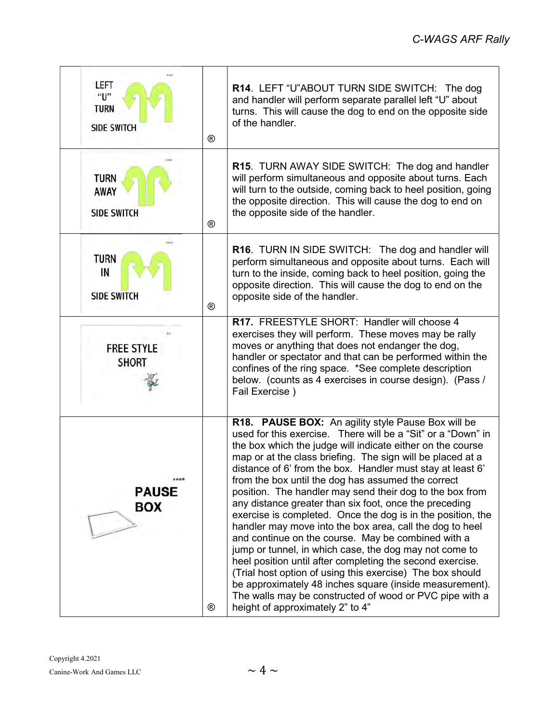| #14#<br>LEFT<br>"ሀ"<br><b>TURN</b><br><b>SIDE SWITCH</b> | $^{\circledR}$ | R14. LEFT "U"ABOUT TURN SIDE SWITCH: The dog<br>and handler will perform separate parallel left "U" about<br>turns. This will cause the dog to end on the opposite side<br>of the handler.                                                                                                                                                                                                                                                                                                                                                                                                                                                                                                                                                                                                                                                                                                                                                                                                                              |
|----------------------------------------------------------|----------------|-------------------------------------------------------------------------------------------------------------------------------------------------------------------------------------------------------------------------------------------------------------------------------------------------------------------------------------------------------------------------------------------------------------------------------------------------------------------------------------------------------------------------------------------------------------------------------------------------------------------------------------------------------------------------------------------------------------------------------------------------------------------------------------------------------------------------------------------------------------------------------------------------------------------------------------------------------------------------------------------------------------------------|
| <b>TURN</b><br><b>AWAY</b><br><b>SIDE SWITCH</b>         | $^{\circledR}$ | R15. TURN AWAY SIDE SWITCH: The dog and handler<br>will perform simultaneous and opposite about turns. Each<br>will turn to the outside, coming back to heel position, going<br>the opposite direction. This will cause the dog to end on<br>the opposite side of the handler.                                                                                                                                                                                                                                                                                                                                                                                                                                                                                                                                                                                                                                                                                                                                          |
| <b>TURN</b><br>IN<br><b>SIDE SWITCH</b>                  | $^{\circledR}$ | <b>R16.</b> TURN IN SIDE SWITCH: The dog and handler will<br>perform simultaneous and opposite about turns. Each will<br>turn to the inside, coming back to heel position, going the<br>opposite direction. This will cause the dog to end on the<br>opposite side of the handler.                                                                                                                                                                                                                                                                                                                                                                                                                                                                                                                                                                                                                                                                                                                                      |
| <b>FREE STYLE</b><br><b>SHORT</b>                        |                | R17. FREESTYLE SHORT: Handler will choose 4<br>exercises they will perform. These moves may be rally<br>moves or anything that does not endanger the dog,<br>handler or spectator and that can be performed within the<br>confines of the ring space. *See complete description<br>below. (counts as 4 exercises in course design). (Pass /<br>Fail Exercise)                                                                                                                                                                                                                                                                                                                                                                                                                                                                                                                                                                                                                                                           |
| <b>PAUSE</b><br>BOX                                      | $^{\circledR}$ | R18. PAUSE BOX: An agility style Pause Box will be<br>used for this exercise. There will be a "Sit" or a "Down" in<br>the box which the judge will indicate either on the course<br>map or at the class briefing. The sign will be placed at a<br>distance of 6' from the box. Handler must stay at least 6'<br>from the box until the dog has assumed the correct<br>position. The handler may send their dog to the box from<br>any distance greater than six foot, once the preceding<br>exercise is completed. Once the dog is in the position, the<br>handler may move into the box area, call the dog to heel<br>and continue on the course. May be combined with a<br>jump or tunnel, in which case, the dog may not come to<br>heel position until after completing the second exercise.<br>(Trial host option of using this exercise) The box should<br>be approximately 48 inches square (inside measurement).<br>The walls may be constructed of wood or PVC pipe with a<br>height of approximately 2" to 4" |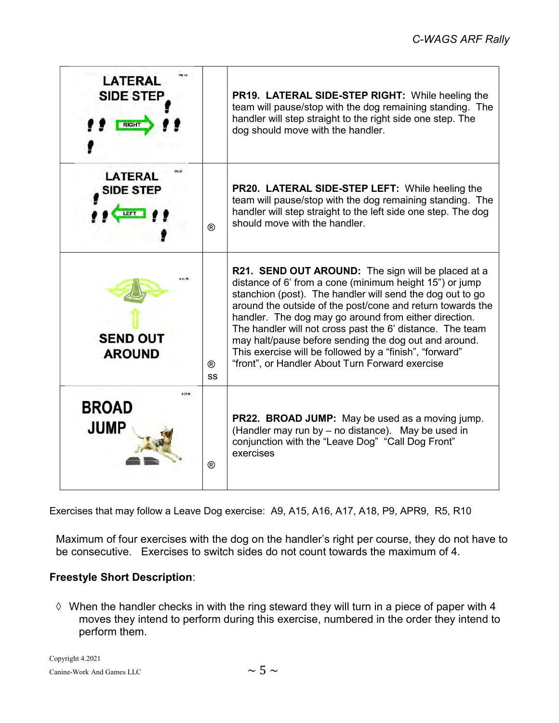| PH 19<br>LATERAL<br><b>SIDE STEP</b><br><b>RIGHT</b> |                      | <b>PR19. LATERAL SIDE-STEP RIGHT:</b> While heeling the<br>team will pause/stop with the dog remaining standing. The<br>handler will step straight to the right side one step. The<br>dog should move with the handler.                                                                                                                                                                                                                                                                                                               |
|------------------------------------------------------|----------------------|---------------------------------------------------------------------------------------------------------------------------------------------------------------------------------------------------------------------------------------------------------------------------------------------------------------------------------------------------------------------------------------------------------------------------------------------------------------------------------------------------------------------------------------|
| int ao<br>LATERAL<br><b>SIDE STEP</b>                | $^{\circledR}$       | PR20. LATERAL SIDE-STEP LEFT: While heeling the<br>team will pause/stop with the dog remaining standing. The<br>handler will step straight to the left side one step. The dog<br>should move with the handler.                                                                                                                                                                                                                                                                                                                        |
| <b>SEND OUT</b><br><b>AROUND</b>                     | $^{\circledR}$<br>SS | R21. SEND OUT AROUND: The sign will be placed at a<br>distance of 6' from a cone (minimum height 15") or jump<br>stanchion (post). The handler will send the dog out to go<br>around the outside of the post/cone and return towards the<br>handler. The dog may go around from either direction.<br>The handler will not cross past the 6' distance. The team<br>may halt/pause before sending the dog out and around.<br>This exercise will be followed by a "finish", "forward"<br>"front", or Handler About Turn Forward exercise |
| <b>BROAD</b><br><b>JUMP</b>                          | $^{\circledR}$       | <b>PR22. BROAD JUMP:</b> May be used as a moving jump.<br>(Handler may run by - no distance). May be used in<br>conjunction with the "Leave Dog" "Call Dog Front"<br>exercises                                                                                                                                                                                                                                                                                                                                                        |

Exercises that may follow a Leave Dog exercise: A9, A15, A16, A17, A18, P9, APR9, R5, R10

Maximum of four exercises with the dog on the handler's right per course, they do not have to be consecutive. Exercises to switch sides do not count towards the maximum of 4.

## Freestyle Short Description:

 $\Diamond$  When the handler checks in with the ring steward they will turn in a piece of paper with 4 moves they intend to perform during this exercise, numbered in the order they intend to perform them.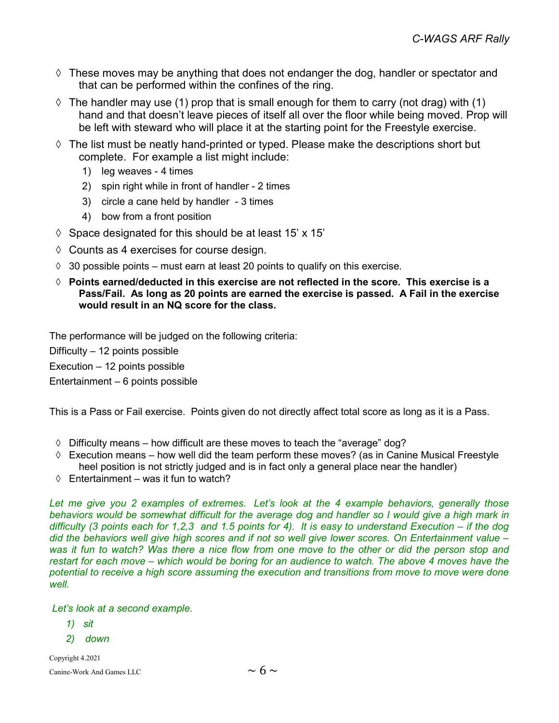- $\Diamond$  These moves may be anything that does not endanger the dog, handler or spectator and that can be performed within the confines of the ring.
- $\Diamond$  The handler may use (1) prop that is small enough for them to carry (not drag) with (1) hand and that doesn't leave pieces of itself all over the floor while being moved. Prop will be left with steward who will place it at the starting point for the Freestyle exercise.
- $\Diamond$  The list must be neatly hand-printed or typed. Please make the descriptions short but complete. For example a list might include:
	- 1) leg weaves 4 times
	- 2) spin right while in front of handler 2 times
	- 3) circle a cane held by handler 3 times
	- 4) bow from a front position
- $\Diamond$  Space designated for this should be at least 15' x 15'
- $\Diamond$  Counts as 4 exercises for course design.
- $\Diamond$  30 possible points must earn at least 20 points to qualify on this exercise.
- $\Diamond$  Points earned/deducted in this exercise are not reflected in the score. This exercise is a Pass/Fail. As long as 20 points are earned the exercise is passed. A Fail in the exercise would result in an NQ score for the class.

The performance will be judged on the following criteria:

Difficulty – 12 points possible

Execution – 12 points possible

Entertainment – 6 points possible

This is a Pass or Fail exercise. Points given do not directly affect total score as long as it is a Pass.

- $\Diamond$  Difficulty means how difficult are these moves to teach the "average" dog?
- $\Diamond$  Execution means how well did the team perform these moves? (as in Canine Musical Freestyle heel position is not strictly judged and is in fact only a general place near the handler)
- $\Diamond$  Entertainment was it fun to watch?

Let me give you 2 examples of extremes. Let's look at the 4 example behaviors, generally those behaviors would be somewhat difficult for the average dog and handler so I would give a high mark in difficulty (3 points each for 1,2,3 and 1.5 points for 4). It is easy to understand Execution – if the dog did the behaviors well give high scores and if not so well give lower scores. On Entertainment value was it fun to watch? Was there a nice flow from one move to the other or did the person stop and restart for each move – which would be boring for an audience to watch. The above 4 moves have the potential to receive a high score assuming the execution and transitions from move to move were done well.

Let's look at a second example.

- 1) sit
- 2) down

Copyright 4.2021 Canine-Work And Games LLC  $\sim 6 \sim$